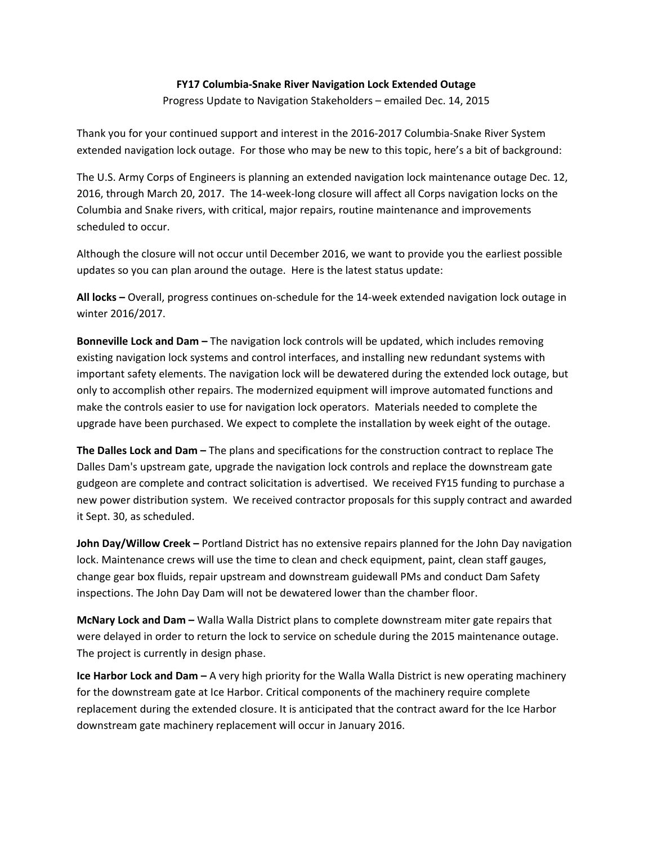## **FY17 Columbia‐Snake River Navigation Lock Extended Outage**

Progress Update to Navigation Stakeholders – emailed Dec. 14, 2015

Thank you for your continued support and interest in the 2016‐2017 Columbia‐Snake River System extended navigation lock outage. For those who may be new to this topic, here's a bit of background:

The U.S. Army Corps of Engineers is planning an extended navigation lock maintenance outage Dec. 12, 2016, through March 20, 2017. The 14‐week‐long closure will affect all Corps navigation locks on the Columbia and Snake rivers, with critical, major repairs, routine maintenance and improvements scheduled to occur.

Although the closure will not occur until December 2016, we want to provide you the earliest possible updates so you can plan around the outage. Here is the latest status update:

**All locks –** Overall, progress continues on‐schedule for the 14‐week extended navigation lock outage in winter 2016/2017.

**Bonneville Lock and Dam –** The navigation lock controls will be updated, which includes removing existing navigation lock systems and control interfaces, and installing new redundant systems with important safety elements. The navigation lock will be dewatered during the extended lock outage, but only to accomplish other repairs. The modernized equipment will improve automated functions and make the controls easier to use for navigation lock operators. Materials needed to complete the upgrade have been purchased. We expect to complete the installation by week eight of the outage.

**The Dalles Lock and Dam –** The plans and specifications for the construction contract to replace The Dalles Dam's upstream gate, upgrade the navigation lock controls and replace the downstream gate gudgeon are complete and contract solicitation is advertised. We received FY15 funding to purchase a new power distribution system. We received contractor proposals for this supply contract and awarded it Sept. 30, as scheduled.

**John Day/Willow Creek –** Portland District has no extensive repairs planned for the John Day navigation lock. Maintenance crews will use the time to clean and check equipment, paint, clean staff gauges, change gear box fluids, repair upstream and downstream guidewall PMs and conduct Dam Safety inspections. The John Day Dam will not be dewatered lower than the chamber floor.

**McNary Lock and Dam –** Walla Walla District plans to complete downstream miter gate repairs that were delayed in order to return the lock to service on schedule during the 2015 maintenance outage. The project is currently in design phase.

**Ice Harbor Lock and Dam –** A very high priority for the Walla Walla District is new operating machinery for the downstream gate at Ice Harbor. Critical components of the machinery require complete replacement during the extended closure. It is anticipated that the contract award for the Ice Harbor downstream gate machinery replacement will occur in January 2016.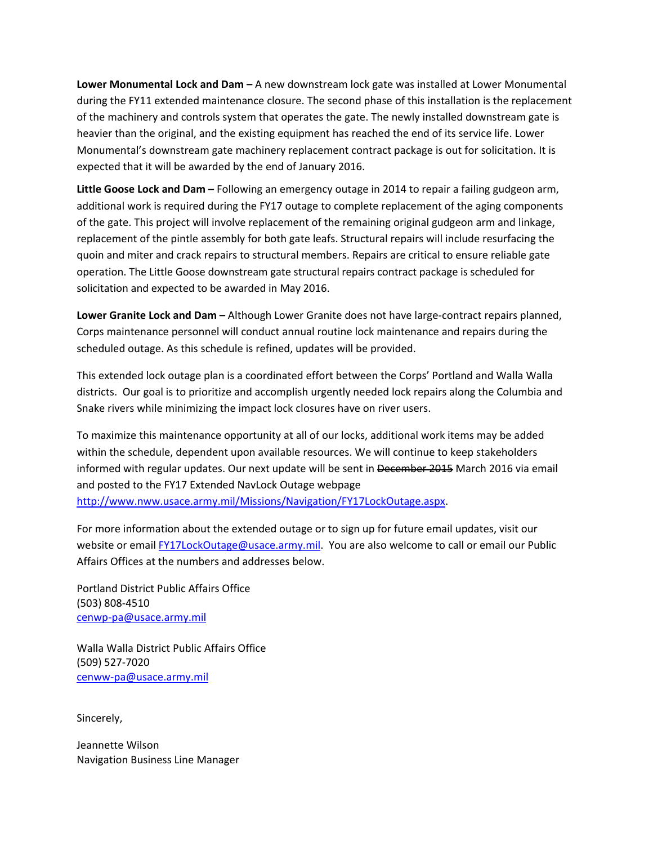**Lower Monumental Lock and Dam –** A new downstream lock gate was installed at Lower Monumental during the FY11 extended maintenance closure. The second phase of this installation is the replacement of the machinery and controls system that operates the gate. The newly installed downstream gate is heavier than the original, and the existing equipment has reached the end of its service life. Lower Monumental's downstream gate machinery replacement contract package is out for solicitation. It is expected that it will be awarded by the end of January 2016.

**Little Goose Lock and Dam –** Following an emergency outage in 2014 to repair a failing gudgeon arm, additional work is required during the FY17 outage to complete replacement of the aging components of the gate. This project will involve replacement of the remaining original gudgeon arm and linkage, replacement of the pintle assembly for both gate leafs. Structural repairs will include resurfacing the quoin and miter and crack repairs to structural members. Repairs are critical to ensure reliable gate operation. The Little Goose downstream gate structural repairs contract package is scheduled for solicitation and expected to be awarded in May 2016.

**Lower Granite Lock and Dam –** Although Lower Granite does not have large‐contract repairs planned, Corps maintenance personnel will conduct annual routine lock maintenance and repairs during the scheduled outage. As this schedule is refined, updates will be provided.

This extended lock outage plan is a coordinated effort between the Corps' Portland and Walla Walla districts. Our goal is to prioritize and accomplish urgently needed lock repairs along the Columbia and Snake rivers while minimizing the impact lock closures have on river users.

To maximize this maintenance opportunity at all of our locks, additional work items may be added within the schedule, dependent upon available resources. We will continue to keep stakeholders informed with regular updates. Our next update will be sent in December 2015 March 2016 via email and posted to the FY17 Extended NavLock Outage webpage http://www.nww.usace.army.mil/Missions/Navigation/FY17LockOutage.aspx.

For more information about the extended outage or to sign up for future email updates, visit our website or email FY17LockOutage@usace.army.mil. You are also welcome to call or email our Public Affairs Offices at the numbers and addresses below.

Portland District Public Affairs Office (503) 808‐4510 cenwp‐pa@usace.army.mil

Walla Walla District Public Affairs Office (509) 527‐7020 cenww‐pa@usace.army.mil

Sincerely,

Jeannette Wilson Navigation Business Line Manager